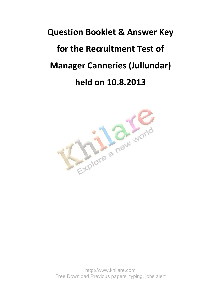## **Question Booklet & Answer Key for the Recruitment Test of Manager Canneries (Jullundar) held on 10.8.2013**



http://www.khilare.com Free Download Previous papers, typing, jobs alert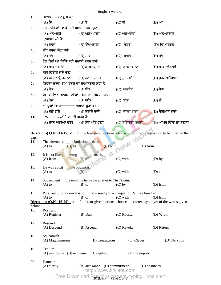English Version 1. 'ਫ਼ਾਐਦਾ' ਸ਼ਬਦ ਸ਼ੱਧ ਕਰੋ :  $(A)$  ਇ $(B)$  ਏ $(C)$  ਈ $(D)$  ਆ  $2.$  ਹੇਠ ਲਿਖਿਆਂ ਵਿੱਚੋਂ ਸਹੀ ਸਮਾਸੀ ਸ਼ਬਦ ਚਣੋ:  $(A)$  ਅੰਨ-ਰੋਟੀ  $(B)$  ਅਨੰ-ਪਾਣੀ  $(C)$  ਅੰਨ-ਦੇਵੀ  $(D)$  ਅੰਨ-ਸਬਜੀ 3. *'ਦੁ*ਆਬਾ' ਕੀ ਹੈ: (A) GkÙk (B) T[g-GkÙk (C) y/so (D) ftnkeoB  $4.$  ਸ਼ੱਧ ਸ਼ਬਦ-ਜੋੜ ਚਣੋ $:$  $(A)$  ਸਾਂਜ  $(B)$  ਸਾਂਝ  $(C)$  ਸਆਂਜ  $(D)$  ਸ਼ਾਂਜ  $5.$  ਹੇਠ ਲਿਖਿਆ ਵਿੱਚੋਂ ਸਹੀ ਸਮਾਸੀ ਸ਼ਬਦ ਚਣੋਂ:  $(A)$  ਡਾਕ-ਚਿੱਠੀ  $(B)$  ਡਾਕ-ਪੋਸਟ  $(C)$  ਡਾਕ-ਖਾਨਾ  $(D)$  ਡਾਕ-ਵੰਡਾਈ  $6.$  ਸਹੀ ਵਿਰੋਧੀ ਜੋੜੇ ਚਣੋ:  $(A)$  ਵਸਣਾ/ਉਜੜਨਾ  $(B)$  ਹਨੇਰਾ /ਰਾਤ  $(C)$  ਦੁਰ/ਅੱਗੇ  $(D)$  ਸੁਰਜ/ਮੱਸਿਆ  $7.$  fਕਹੜਾ ਸ਼ਬਦ 'ਗਮ' ਸ਼ਬਦ ਦਾ ਸਾਮਾਨਰਥੀ ਨਹੀਂ ਹੈ:  $(A)$  ਸ਼ੋਕ  $(B)$  ਸ਼ੌਂਕ  $(C)$  ਅਫ਼ਸੋਸ  $(D)$  ਸੋਗ 8. ਪੰਜਾਬੀ ਵਿੱਚ ਕਾਰਕਾਂ ਦੀਆਂ ਕਿੰਨੀਆਂ ਕਿਸਮਾਂ ਹਨ **:**  $(A)$ ਪੰਜ  $(B)$ ਅੱਠ  $(C)$  ਸੱਤ  $(D)$  ਛੇ 9. ਅੰਨ੍ਹਿਆਂ ਵਿੱਚ------- ਅਖਾਣ ਪੁਰਾ ਕਰੋ : (A) ਬੋਲੇ ਰਾਜੇ (B) ਲੰਗੜੇ ਰਾਜੇ (C) ਕਾਣਾ ਰਾਜਾ (D) ਬੇਈਮਾਨ ਰਾਜੇ  $10a$  'ਦਾਲ ਨਾ ਗਲਣੀ' ਦਾ ਕੀ ਅਰਥ ਹੈ:  $(A)$  ਦਾਲ ਘਟੀਆ ਹੋਣੀ  $(B)$  ਸੇਕ ਘੱਟ ਹੋਣਾ  $(C)$  ਬੇਇਜ਼ਤੀ ਕਰਨੀ  $(D)$  ਆਪਸ ਵਿੱਚ ਨਾ ਬਣਨੀ **Directions( Q.No.11-15):**-Out of the four given options, choose the correct preposition to be filled in the gaps:- 11. The alternative <u>submission</u> is death. (A) to  $(B)$  of  $(C)$  with  $(C)$  with  $(D)$  from 12. It is not likely to derogate his merit.<br>(A) from  $(B)$  of (A) from (B) of (C) with (D) by 13. He was equal <u>the occasion</u>. (A) to  $(B)$  of  $(C)$  with  $(D)$  at 14. Subsequent \_\_ the meeting he wrote a letter to *The Hindu*. (A) to (B) of (C) by (D) from 15. Pursuant \_\_ our conversation, I now send you a cheque for Rs. five hundred. (A) to (B) of (C) with (D) from **Directions (Q.No.16-20):**- out of the four given options, choose the correct synonym of the words given below:- 16. Rostrum (A) Register (B) Dais (C) Rooster (D) Wrath 17. Rescind (A) Descend (B) Ascend (C) Revoke (D) Return 18. Squeamish (A) Magnanimous (B) Courageous (C) Clever (D) Nervous 19. Tedium (A) monotony (B) excitement (C) agility (D) monopoly 20. Hauteur (A) clarity (B) arrogance (C) commitment (D) obstinacy http://www.khilare.com

Free Download Previgus papers, typing, jobs alert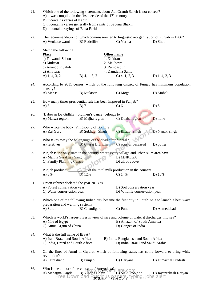| 21.                                                                                                                                        | Which one of the following statements about Adi Granth Saheb is not correct?<br>A) it was compiled in the first decade of the $17th$ century<br>B) it contains verses of Kabir<br>C) it contains verses generally from saints of Saguna Bhakti |                                                                        |                                                                       |                                                                                            |  |  |  |
|--------------------------------------------------------------------------------------------------------------------------------------------|------------------------------------------------------------------------------------------------------------------------------------------------------------------------------------------------------------------------------------------------|------------------------------------------------------------------------|-----------------------------------------------------------------------|--------------------------------------------------------------------------------------------|--|--|--|
|                                                                                                                                            | D) it contains sayings of Baba Farid                                                                                                                                                                                                           |                                                                        |                                                                       |                                                                                            |  |  |  |
| 22.                                                                                                                                        | The recommendation of which commission led to linguistic reorganization of Punjab in 1966?<br>B) Radcliffe<br>A) Venkataswami<br>C) Verma<br>D) Shah                                                                                           |                                                                        |                                                                       |                                                                                            |  |  |  |
| 23.                                                                                                                                        | Match the following<br><b>Place</b><br>a) Talwandi Saboo<br>b) Muktsar                                                                                                                                                                         |                                                                        | Other name<br>1. Khidrana<br>2. Makhowal                              |                                                                                            |  |  |  |
|                                                                                                                                            | c) Anandpur Sahib<br>d) Amritsar                                                                                                                                                                                                               |                                                                        | 3. Ramdaspur<br>4. Damdama Sahib                                      |                                                                                            |  |  |  |
|                                                                                                                                            | A) 1, 4, 3, 2                                                                                                                                                                                                                                  | $B)$ 4, 1, 3, 2                                                        | $C$ ) 4, 1, 2, 3                                                      | D) $1, 4, 2, 3$                                                                            |  |  |  |
| 24.                                                                                                                                        | density?                                                                                                                                                                                                                                       |                                                                        |                                                                       | According to 2011 census, which of the following district of Punjab has minimum population |  |  |  |
|                                                                                                                                            | A) Mansa                                                                                                                                                                                                                                       | B) Muktsar                                                             | C) Moga                                                               | D) Mohali                                                                                  |  |  |  |
| 25.                                                                                                                                        | $A)$ 8                                                                                                                                                                                                                                         | How many times presidential rule has been imposed in Punjab?<br>$B)$ 7 | $C$ ) 6                                                               | $D)$ 5                                                                                     |  |  |  |
| 26.                                                                                                                                        | A) Malwa region                                                                                                                                                                                                                                | 'Babeyan Da Gidhha' (old men's dance) belongs to<br>B) Majha region    | C) Doaba region                                                       | $D)$ none                                                                                  |  |  |  |
| 27.                                                                                                                                        | Who wrote the book 'Philosophy of Bomb'?<br>A) Raj Guru                                                                                                                                                                                        | <b>B</b> ) Sukhdev Singh                                               | C) Bhagat Singh                                                       | D) Nanak Singh                                                                             |  |  |  |
| 28.                                                                                                                                        | Who takes away the belongings of the dead after funeral?<br>C) sons of deceased<br>A) relatives<br>B) Charaj Brahmin<br>D) potter                                                                                                              |                                                                        |                                                                       |                                                                                            |  |  |  |
| 29.                                                                                                                                        | Punjab is the only state in the country where every village and urban slum area have<br>A) Mahila Surakhya Sang<br><b>B) MNREGA</b><br>C) Family Planning Centre<br>D) all of above                                                            |                                                                        |                                                                       |                                                                                            |  |  |  |
| 30.                                                                                                                                        | Punjab produces<br>A) 8%                                                                                                                                                                                                                       | B) 12%                                                                 | of the total milk production in the country<br>$C)$ 14%               | D) 10%                                                                                     |  |  |  |
| 31.                                                                                                                                        | Union cabinet declared the year 2013 as<br>A) Forest conservation year<br>C) Water conservation year                                                                                                                                           |                                                                        | B) Soil conservation year<br>D) Wildlife conservation year            |                                                                                            |  |  |  |
| 32.<br>Which one of the following Indian city became the first city in South Asia to launch a heat wave<br>preparation and warning system? |                                                                                                                                                                                                                                                |                                                                        |                                                                       |                                                                                            |  |  |  |
|                                                                                                                                            | A) Surat                                                                                                                                                                                                                                       | B) Chandigarh                                                          | C) Pune                                                               | D) Ahmedabad                                                                               |  |  |  |
| 33.                                                                                                                                        | Which is world's largest river in view of size and volume of water it discharges into sea?<br>B) Amazon of South America<br>A) Nile of Egypt<br>D) Ganges of India<br>C) Amur-Argun of China                                                   |                                                                        |                                                                       |                                                                                            |  |  |  |
| 34.                                                                                                                                        | What is the full name of IBSA?<br>A) Iran, Brazil and South Africa<br>B) India, Bangladesh and South Africa<br>C) India, Brazil and South Africa<br>D) India, Brazil and Saudi Arabia                                                          |                                                                        |                                                                       |                                                                                            |  |  |  |
| 35.                                                                                                                                        | On the lines of Amul in Gujarat, which of following states has come forward to bring white<br>revolution?                                                                                                                                      |                                                                        |                                                                       |                                                                                            |  |  |  |
|                                                                                                                                            | A) Uttrakhand                                                                                                                                                                                                                                  | B) Punjab                                                              | C) Haryana                                                            | D) Himachal Pradesh                                                                        |  |  |  |
| 36.                                                                                                                                        | A) Mahatma Gandhi                                                                                                                                                                                                                              | Who is the author of the concept of Antyodaya?<br>B) Vinoba Bhave      | C) Sri Aurobindo<br>Free Download Previous papers, typing, jobs alert | D) Jayaprakash Naryan                                                                      |  |  |  |

20 (Eng) Page **2** of **7**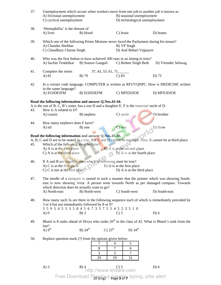| 37.                                                                                                                                                                                                                                                                                                                                                       | A) frictional unemployment<br>C) cyclical unemployment                                                                                                                                                                                |                                                                              | Unemployment which occurs when workers move from one job to another job is known as<br>B) seasonal unemployment<br>D) technological unemployment |                                                                                                      |  |  |
|-----------------------------------------------------------------------------------------------------------------------------------------------------------------------------------------------------------------------------------------------------------------------------------------------------------------------------------------------------------|---------------------------------------------------------------------------------------------------------------------------------------------------------------------------------------------------------------------------------------|------------------------------------------------------------------------------|--------------------------------------------------------------------------------------------------------------------------------------------------|------------------------------------------------------------------------------------------------------|--|--|
| 38.                                                                                                                                                                                                                                                                                                                                                       | 'Hemophillia' is the disease of<br>A) liver                                                                                                                                                                                           | B) blood                                                                     | C) brain                                                                                                                                         | D) bones                                                                                             |  |  |
| 39.                                                                                                                                                                                                                                                                                                                                                       | Which one of the following Prime Minister never faced the Parliament during his tenure?<br>A) Chandra Shekhar<br>C) Chaudhary Charan Singh                                                                                            |                                                                              | B) VP Singh<br>D) Atal Behari Vajpayee                                                                                                           |                                                                                                      |  |  |
| 40.                                                                                                                                                                                                                                                                                                                                                       | A) Sachin Tendulkar                                                                                                                                                                                                                   | B) Sourav Ganguli                                                            | Who was the first Indian to have achieved 300 runs in an inning in tests?<br>C) Bishen Singh Bedi<br>D) Virender Sehwag                          |                                                                                                      |  |  |
| 41.                                                                                                                                                                                                                                                                                                                                                       | Complete the series<br>A) 81                                                                                                                                                                                                          | $37, 43, 53, 61, 71, $<br>C) $83$<br>B) 79                                   |                                                                                                                                                  | D) 73                                                                                                |  |  |
| 42.                                                                                                                                                                                                                                                                                                                                                       | in the same language?                                                                                                                                                                                                                 |                                                                              |                                                                                                                                                  | In a certain code language, COMPUTER is written as RFUVQNPC. How is MEDICINE written                 |  |  |
|                                                                                                                                                                                                                                                                                                                                                           | A) EOJDEJFM                                                                                                                                                                                                                           | <b>B) EOJDJEFM</b>                                                           | C) MFEDJJOE                                                                                                                                      | D) MFEJDJOE                                                                                          |  |  |
| 43.                                                                                                                                                                                                                                                                                                                                                       | Read the following information and answer Q.Nos.43-44.<br>How is A related to D?                                                                                                                                                      |                                                                              | A is the son of B. C, B's sister, has a son D and a daughter E. F is the maternal uncle of D.                                                    |                                                                                                      |  |  |
|                                                                                                                                                                                                                                                                                                                                                           | A) cousin                                                                                                                                                                                                                             | B) nephew                                                                    | C) uncle                                                                                                                                         | D) brother                                                                                           |  |  |
| 44.                                                                                                                                                                                                                                                                                                                                                       | How many nephews does F have?<br>A) nil                                                                                                                                                                                               | B) one                                                                       | $C$ ) two                                                                                                                                        | D) three                                                                                             |  |  |
| Read the following information and answer Q.Nos.45-46.<br>A, B, C and D are to be seated in a row. But C and D cannot be together. Also, B cannot be at third place.<br>Which of the following must be false?<br>45.<br><b>B</b> ) A is at the second place<br>A) A is at the first place<br>D) A is at the fourth place<br>$C$ ) A is at the third place |                                                                                                                                                                                                                                       |                                                                              |                                                                                                                                                  |                                                                                                      |  |  |
| 46.                                                                                                                                                                                                                                                                                                                                                       | If A and B are together, then which of following must be true?<br>A) C is at the first place<br>B) D is at the first place<br>C) C is not at the first place<br>D) A is at the third place                                            |                                                                              |                                                                                                                                                  |                                                                                                      |  |  |
| 47.                                                                                                                                                                                                                                                                                                                                                       | The needle of a compass is turned in such a manner that the pointer which was showing South-<br>east is now showing West. A person went towards North as per damaged compass. Towards<br>which direction does he actually want to go? |                                                                              |                                                                                                                                                  |                                                                                                      |  |  |
| 48.                                                                                                                                                                                                                                                                                                                                                       | C) South-west<br>A) North-east<br>B) North-west<br>D) South-east<br>How many such 5s are there in the following sequence each of which is immediately preceded by                                                                     |                                                                              |                                                                                                                                                  |                                                                                                      |  |  |
|                                                                                                                                                                                                                                                                                                                                                           | 3 or 4 but not immediately followed by 8 or 9?<br>A)0                                                                                                                                                                                 | 3 5 9 5 4 5 5 3 5 8 4 5 6 7 3 5 7 5 5 4 5 2 3 5 1 0<br>$B)$ 3                | $C$ ) 5                                                                                                                                          | $D$ ) 6                                                                                              |  |  |
| 49.                                                                                                                                                                                                                                                                                                                                                       | last?<br>A) $9th$                                                                                                                                                                                                                     | $B)$ 24 <sup>th</sup><br>C) $25th$                                           | D) $34th$                                                                                                                                        | Bharti is 8 ranks ahead of Divya who ranks $26th$ in the class of 42. What is Bharti's rank from the |  |  |
| 50.                                                                                                                                                                                                                                                                                                                                                       |                                                                                                                                                                                                                                       | Replace question mark (?) from the options given below:<br>7<br>8<br>3<br>29 | 5<br>4<br>7<br>6<br>$\overline{?}$<br>3<br>19<br>31                                                                                              |                                                                                                      |  |  |
|                                                                                                                                                                                                                                                                                                                                                           | $A)$ 3                                                                                                                                                                                                                                | $B)$ 4<br>4<br>http://www.khilare.com                                        |                                                                                                                                                  | $D$ ) 6                                                                                              |  |  |

20 (Eng) Page **3** of **7** Free Download Previous papers, typing, jobs alert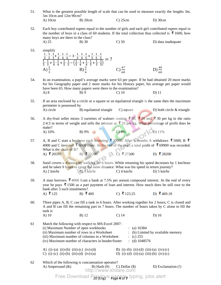51. What is the greatest possible length of scale that can be used to measure exactly the lengths 3m, 5m 10cm and 12m 90cm? A) 10cm B) 20cm C) 25cm D) 30cm

52. Each boy contributed rupees equal to the number of girls and each girl contributed rupees equal to the number of boys in a class of 60 students. If the total collection thus collected is  $\bar{\mathbf{\xi}}$  1600, how many boys are there in the class? A)  $25$  B) 30 C) 50 D) data inadequate

- 53. simplify  $\mathbf{1}$  $\begin{array}{c} 3 & 3 \\ 1 & 1 \end{array}$  ∙  $\mathbf{1}$  ∙  $\mathbf{1}$ <u>3</u>  $^{+}$  $\mathbf{1}$  $\overline{4}$  ∙  $\mathbf{1}$  $\overline{4}$  ∙  $\mathbf{1}$  $\overline{4}$  $-3 \cdot \frac{1}{3}$ <u>3 4 5 5 5 5 5</u> ∙  $\mathbf{1}$  ∙  $\mathbf{1}$  $+$  $\mathbf{1}$  ∙  $\mathbf{1}$  ∙  $\mathbf{1}$  $\frac{1}{3} \cdot \frac{1}{3}$  $\frac{1}{3}$  +  $\mathbf{1}$ 4 ∙  $\mathbf{1}$ 4  $+$  $\mathbf{1}$ 5 ∙  $\mathbf{1}$ 5  $-\left(\frac{1}{3}\right)$  $\frac{1}{3} \cdot \frac{1}{4}$  $\frac{1}{4} + \frac{1}{4}$  $\frac{1}{4} \cdot \frac{1}{5}$  $\frac{1}{5} + \frac{1}{3}$  $\frac{1}{3} \cdot \frac{1}{5}$  $\frac{1}{5}$  $=$  ? A)  $\frac{2}{3}$ B)  $\frac{3}{4}$  C)  $\frac{47}{60}$  $C)\frac{47}{69}$  $D) \frac{49}{60}$
- 54. In an examination, a pupil's average marks were 63 per paper. If he had obtained 20 more marks for his Geography paper and 2 more marks for his History paper, his average per paper would have been 65. How many papers were there in the examination? A) 8 B) 9 C) 10 D) 11
- 55. If an area enclosed by a circle or a square or an equilateral triangle is the same then the maximum perimeter is possessed by A) circle B) equilateral triangle C) square D) both circle & triangle
- 56. A dry-fruit seller mixes 3 varieties of walnuts costing  $\bar{5}$  50,  $\bar{5}$  20 and  $\bar{5}$  30 per kg in the ratio 2:4:3 in terms of weight and sells the mixture at  $\bar{\mathbf{x}}$  33 per kg. What percentage of profit does he make? A) 10% B) 9% C) 8% D) 11%
- 57. A, B and C start a business each investing  $\overline{\binom{20000}{}}$ . After 5 months A withdraws  $\overline{\binom{25000}{}}$ , B  $\overline{\binom{25000}{}}$ 4000 and C invested  $\overline{\mathfrak{g}}$  6000 more. At the end of the year, a total profit of  $\overline{\mathfrak{g}}$  69900 was recorded. What is the share of B? A) ₹20500 B) ₹21200 C) ₹27300 D) ₹28200
- 58. Sunil covers a distance by walking for 6 hours. While returning his speed decreases by 1 km/hour and he takes 9 hours to cover the same distance. What was his speed in return journey? A)  $2 \text{ km/hr}$  B)  $3 \text{ km/hr}$  C)  $4 \text{ km/hr}$  D)  $5 \text{ km/hr}$
- 59. A man borrows  $\bar{\mathbf{\mathsf{z}}}$  4000 from a bank at 7.5% per annum compound interest. At the end of every year he pays  $\bar{\mathfrak{X}}$  1500 as a part payment of loan and interest. How much does he still owe to the bank after 3 such instalments? A) ₹125 B) ₹400 C) ₹123.25 D) ₹469.18
- 60. Three pipes A, B, C can fill a tank in 6 hours. After working together for 2 hours, C is closed and A and B can fill the remaining part in 7 hours. The number of hours taken by C alone to fill the tank is A) 10 B) 12 C) 14 D) 16
- 61 Match the following with respect to MS-Excel 2007: (i) Maximum Number of open workbooks : (a) 16384 (ii) Maximum number of rows in a Worksheet : (b) Limited by available memory (iii) Maximum number of columns in a Worksheet :  $(c)$  255 (iv) Maximum number of characters in header/footer : (d)  $1048576$ A) (i)–(a) (ii)–(b) (iii)–(c) (iv)–(d) B) (i)–(b) (ii)–(d) (iii)–(a) (iv)–(c) C) (i)–(c) (ii)–(b) (iii)–(d) (iv)–(a) D) (i)–(d) (ii)–(a) (iii)–(b) (iv)–(c)
- 62 Which of the following is concatenation operator? A) Ampersand  $(\&)$  B) Hash  $(\#)$  C) Dollar  $(\$)$  D) Exclamation (!) http://www.khilare.com

Free Download Previgus papers, typing, jobs alert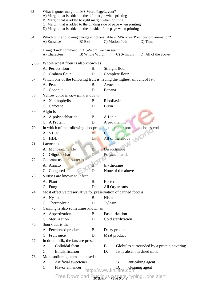| 63    | What is gutter margin in MS-Word PageLayout?<br>A) Margin that is added to the left margin when printing<br>B) Margin that is added to right margin when printing<br>C) Margin that is added to the binding side of page when printing<br>D) Margin that is added to the outside of the page when printing |           |                                                                           |  |  |  |
|-------|------------------------------------------------------------------------------------------------------------------------------------------------------------------------------------------------------------------------------------------------------------------------------------------------------------|-----------|---------------------------------------------------------------------------|--|--|--|
| 64    | Which of the following change is not available in MS-PowerPoint custom animation?<br>A) Entrance<br>B) Exit<br>C) Motion Path<br>D) Time                                                                                                                                                                   |           |                                                                           |  |  |  |
| 65    | Using 'Find' command in MS-Word, we can search<br>A) Characters<br>B) Whole Word<br>C) Symbols<br>D) All of the above                                                                                                                                                                                      |           |                                                                           |  |  |  |
| Q 66. | Whole wheat flour is also known as                                                                                                                                                                                                                                                                         |           |                                                                           |  |  |  |
|       | A. Perfect flour                                                                                                                                                                                                                                                                                           | <b>B.</b> | Straight flour                                                            |  |  |  |
|       | C. Graham flour                                                                                                                                                                                                                                                                                            | D.        | Complete flour                                                            |  |  |  |
| 67.   |                                                                                                                                                                                                                                                                                                            |           | Which one of the following fruit is having the highest amount of fat?     |  |  |  |
|       | A. Peach                                                                                                                                                                                                                                                                                                   | <b>B.</b> | Avocado                                                                   |  |  |  |
|       | C. Coconut                                                                                                                                                                                                                                                                                                 | D.        | Banana                                                                    |  |  |  |
| 68.   | Yellow color in cow milk is due to                                                                                                                                                                                                                                                                         |           |                                                                           |  |  |  |
|       | A. Xanthophylls                                                                                                                                                                                                                                                                                            | <b>B.</b> | Riboflavin                                                                |  |  |  |
|       | C. Carotene                                                                                                                                                                                                                                                                                                | D.        | <b>Bixin</b>                                                              |  |  |  |
| 69.   | Algin is                                                                                                                                                                                                                                                                                                   |           |                                                                           |  |  |  |
|       | A. A polysachharide                                                                                                                                                                                                                                                                                        | <b>B.</b> | A Lipid                                                                   |  |  |  |
|       | C. A Protein                                                                                                                                                                                                                                                                                               | D.        | A provitamin                                                              |  |  |  |
| 70.   |                                                                                                                                                                                                                                                                                                            |           | In which of the following lipo-proteins, the major portion is cholesterol |  |  |  |
|       | A. VLDL                                                                                                                                                                                                                                                                                                    | <b>B.</b> | LDL                                                                       |  |  |  |
|       | C. HDL                                                                                                                                                                                                                                                                                                     | D.        | All of the above                                                          |  |  |  |
| 71    | Lactose is                                                                                                                                                                                                                                                                                                 |           |                                                                           |  |  |  |
|       | A. Monosaccharide                                                                                                                                                                                                                                                                                          | <b>B.</b> | Disaccharide                                                              |  |  |  |
|       | C. Oligosaccharide                                                                                                                                                                                                                                                                                         | D.        | Polysaccharide                                                            |  |  |  |
| 72    | Colorant used in butter is                                                                                                                                                                                                                                                                                 |           |                                                                           |  |  |  |
|       | A. Annato                                                                                                                                                                                                                                                                                                  |           | Erythrosine                                                               |  |  |  |
|       | C. Congored                                                                                                                                                                                                                                                                                                | D.        | None of the above                                                         |  |  |  |
| 73    | Viruses are known to infect                                                                                                                                                                                                                                                                                |           |                                                                           |  |  |  |
|       | A. Plant                                                                                                                                                                                                                                                                                                   | <b>B.</b> | Bacteria                                                                  |  |  |  |
|       | C. Fung<br>D.                                                                                                                                                                                                                                                                                              |           | All Organisms                                                             |  |  |  |
| 74    | Most effective preservative for preservation of canned food is                                                                                                                                                                                                                                             |           |                                                                           |  |  |  |
|       | A. Nystatin<br><b>B.</b>                                                                                                                                                                                                                                                                                   |           | Nisin                                                                     |  |  |  |
|       | C. Thermolysin                                                                                                                                                                                                                                                                                             | D.        | Tylosin                                                                   |  |  |  |
| 75.   | Canning is also sometimes known as                                                                                                                                                                                                                                                                         |           |                                                                           |  |  |  |
|       | A. Appertization                                                                                                                                                                                                                                                                                           | <b>B.</b> | Pasteurization                                                            |  |  |  |
|       | C. Sterilization                                                                                                                                                                                                                                                                                           | D.        | Cold sterilization                                                        |  |  |  |
| 76    | Sourkraut is the                                                                                                                                                                                                                                                                                           |           |                                                                           |  |  |  |
|       | A. Fermented product                                                                                                                                                                                                                                                                                       | B.        | Dairy product                                                             |  |  |  |
|       | C. Fruit juice                                                                                                                                                                                                                                                                                             | D.        | Meat product                                                              |  |  |  |
| 77    | In dried milk, the fats are present as<br>Colloidal form                                                                                                                                                                                                                                                   |           |                                                                           |  |  |  |
|       | А.<br>C.                                                                                                                                                                                                                                                                                                   |           | B.<br>Globules surrounded by a protein covering                           |  |  |  |
| 78.   | Emulsification<br>fat is absent in dried milk<br>D.                                                                                                                                                                                                                                                        |           |                                                                           |  |  |  |
|       | Monosodium glutamate is used as<br>Artificial sweetener<br>А.                                                                                                                                                                                                                                              |           | B.<br>anticaking agent                                                    |  |  |  |
|       | C.<br>Flavor enhancer                                                                                                                                                                                                                                                                                      |           | cleaning agent                                                            |  |  |  |
|       |                                                                                                                                                                                                                                                                                                            |           | http://www.khilare.com                                                    |  |  |  |
|       | Free Download Previous papers, typing, jobs alert                                                                                                                                                                                                                                                          |           |                                                                           |  |  |  |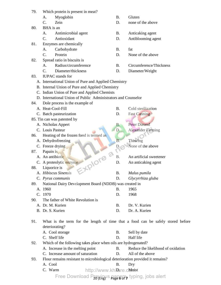| 79. | Which protein is present in meat?                                             |                           |                                                                                 |
|-----|-------------------------------------------------------------------------------|---------------------------|---------------------------------------------------------------------------------|
|     |                                                                               | <b>B.</b>                 | Gluten                                                                          |
|     | Myoglobin<br>A.                                                               |                           |                                                                                 |
|     | C.<br>Zein                                                                    | D.                        | none of the above                                                               |
| 80. | BHA is an                                                                     |                           |                                                                                 |
|     | Antimicrobial agent<br>А.                                                     | <b>B.</b>                 | Anticaking agent                                                                |
|     | $C_{\cdot}$<br>Antioxidant                                                    | D.                        | Antiblooming agent                                                              |
| 81. | Enzymes are chemically                                                        |                           |                                                                                 |
|     | Carbohydrate<br>A.                                                            | <b>B.</b>                 | fat                                                                             |
|     | Protein<br>$\mathcal{C}$ .                                                    | D.                        | None of the above                                                               |
| 82. | Spread ratio in biscuits is                                                   |                           |                                                                                 |
|     | Radius/circumference<br>A.                                                    | <b>B.</b>                 | Circumference/Thickness                                                         |
|     | $C_{\cdot}$<br>Diameter/thickness                                             | D.                        | Diameter/Weight                                                                 |
| 83. | <b>IUPAC</b> stands for                                                       |                           |                                                                                 |
|     | A. International Union of Pure and Applied Chemistry                          |                           |                                                                                 |
|     | B. Internal Union of Pure and Applied Chemistry                               |                           |                                                                                 |
|     | C. Indian Union of Pure and Applied Chemists                                  |                           |                                                                                 |
|     | D. International Union of Public Administrators and Counselor                 |                           |                                                                                 |
| 84. | Dole process is the example of                                                |                           |                                                                                 |
|     | A. Heat-Cool-Fill                                                             | <b>B.</b>                 | Cold sterilization                                                              |
|     | C. Batch pasteurization                                                       | D.                        | <b>Fast Canning</b>                                                             |
|     | 85. Tin can was patented by                                                   |                           |                                                                                 |
|     | A. Nicholas Appert                                                            | <b>B.</b>                 | <b>Peter Durand</b>                                                             |
|     | C. Louis Pasteur                                                              | D.                        | <b>Alexander Fleming</b>                                                        |
| 86. | Heating of the frozen food is termed as                                       |                           |                                                                                 |
|     | A. Dehydrofreezing                                                            | $B$ :                     | Thawing                                                                         |
|     | C. Freeze drying                                                              | D.                        | None of the above                                                               |
| 87. | Papain is                                                                     |                           |                                                                                 |
|     | A. An antibiotic                                                              | <b>B.</b>                 | An artificial sweetener                                                         |
|     | C. A proteolytic enzyme                                                       | D.                        | An anticaking agent                                                             |
| 88. | Liquorice is                                                                  |                           |                                                                                 |
|     | A. Hibiscus Sinensis                                                          | B.                        | Malus pumila                                                                    |
|     | C. Pyrus communis                                                             | D.                        | Glycyrrhiza gluba                                                               |
| 89. | National Dairy Development Board (NDDB) was created in                        |                           |                                                                                 |
|     | A. 1960                                                                       | <b>B.</b>                 | 1965                                                                            |
|     | C. 1970                                                                       | D.                        | 1968                                                                            |
| 90. | The father of White Revolution is                                             |                           |                                                                                 |
|     | A. Dr. M. Kurien                                                              |                           |                                                                                 |
|     | B. Dr. S. Kurien                                                              | <b>B.</b>                 | Dr. V. Kurien                                                                   |
|     |                                                                               | D.                        | Dr. A. Kurien                                                                   |
| 91. |                                                                               |                           | What is the term for the length of time that a food can be safely stored before |
|     |                                                                               |                           |                                                                                 |
|     | deteriorating?                                                                |                           |                                                                                 |
|     | A. Cool storage                                                               | <b>B.</b>                 | Sell by date                                                                    |
|     | C. Shelf life                                                                 | D.                        | Half life                                                                       |
| 92. | Which of the following takes place when oils are hydrogenated?                |                           |                                                                                 |
|     | A. Increase in the melting point                                              | <b>B.</b>                 | Reduce the likelihood of oxidation                                              |
|     | C. Increase amount of saturation                                              | D.                        | All of the above                                                                |
| 93. | Flour remains resistant to microbiological deterioration provided it remains? |                           |                                                                                 |
|     | A. Cool                                                                       | Β.                        | Dry                                                                             |
|     | C. Warm                                                                       | http://www.khiPare.cMoist |                                                                                 |
|     | Free Download Previous papers, typing, jobs alert                             |                           |                                                                                 |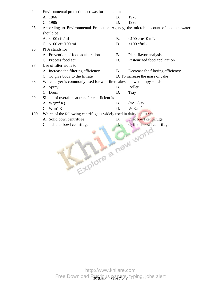| 94.  | Environmental protection act was formulated in                                     |           |                                   |  |  |  |
|------|------------------------------------------------------------------------------------|-----------|-----------------------------------|--|--|--|
|      | A. 1966                                                                            | <b>B.</b> | 1976                              |  |  |  |
|      | C. 1986                                                                            | D.        | 1996                              |  |  |  |
| 95.  | According to Environmental Protection Agency, the microbial count of potable water |           |                                   |  |  |  |
|      | should be                                                                          |           |                                   |  |  |  |
|      | A. $<$ 100 cfu/mL                                                                  | <b>B.</b> | $<$ 100 cfu/10 mL                 |  |  |  |
|      | C. $<$ 100 cfu/100 mL                                                              | D.        | $<$ 100 cfu/L                     |  |  |  |
| 96.  | PFA stands for                                                                     |           |                                   |  |  |  |
|      | A. Prevention of food adulteration                                                 | <b>B.</b> | Plant flavor analysis             |  |  |  |
|      | C. Process food act                                                                | D.        | Pasteurized food application      |  |  |  |
| 97.  | Use of filter aid is to                                                            |           |                                   |  |  |  |
|      | A. Increase the filtering efficiency                                               | <b>B.</b> | Decrease the filtering efficiency |  |  |  |
|      | C. To give body to the filtrate                                                    |           | D. To increase the mass of cake   |  |  |  |
| 98.  | Which dryer is commonly used for wet filter cakes and wet lumpy solids             |           |                                   |  |  |  |
|      | A. Spray                                                                           | <b>B.</b> | Roller                            |  |  |  |
|      | C. Drum                                                                            | D.        | Tray                              |  |  |  |
| 99.  | SI unit of overall heat transfer coefficient is                                    |           |                                   |  |  |  |
|      | A. $W/(m^2 K)$                                                                     | <b>B.</b> | $(m^2 K)/W$                       |  |  |  |
|      | C. W m <sup>2</sup> K                                                              | D.        | $W K/m^2$                         |  |  |  |
| 100. | Which of the following centrifuge is widely used in dairy industries               |           |                                   |  |  |  |
|      | A. Solid bowl centrifuge                                                           | <b>B.</b> | Disc bowl centrifuge              |  |  |  |
|      | C. Tubular bowl centrifuge                                                         | D.        | Cylinder bowl centrifuge          |  |  |  |
|      |                                                                                    |           |                                   |  |  |  |
|      |                                                                                    |           |                                   |  |  |  |
|      |                                                                                    |           |                                   |  |  |  |
|      |                                                                                    |           |                                   |  |  |  |
|      |                                                                                    |           |                                   |  |  |  |
|      |                                                                                    |           |                                   |  |  |  |
|      |                                                                                    |           |                                   |  |  |  |
|      | Explore a new world                                                                |           |                                   |  |  |  |
|      |                                                                                    |           |                                   |  |  |  |